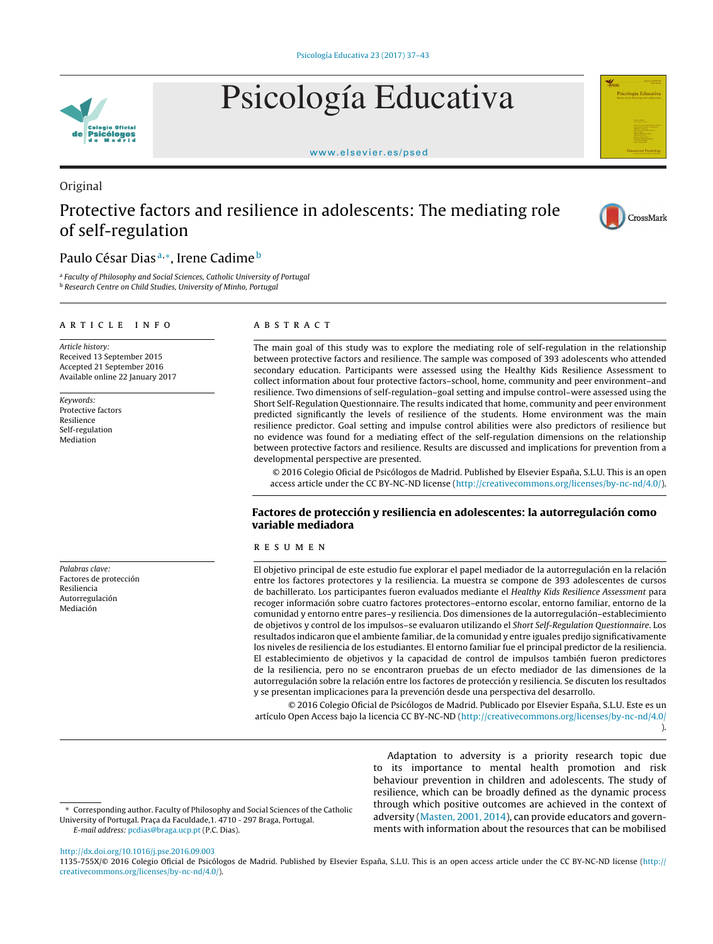

# Psicología Educativa



# Original Protective factors and resilience in adolescents: The mediating role of self-regulation



# Paulo César Dias<sup>a,</sup>\*, Irene Cadime<sup>b</sup>

<sup>a</sup> Faculty of Philosophy and Social Sciences, Catholic University of Portugal <sup>b</sup> Research Centre on Child Studies, University of Minho, Portugal

#### a r t i c l e i n f o

Article history: Received 13 September 2015 Accepted 21 September 2016 Available online 22 January 2017

Keywords: Protective factors Resilience Self-regulation Mediation

Palabras clave: Factores de protección Resiliencia Autorregulación Mediación

# A B S T R A C T

The main goal of this study was to explore the mediating role of self-regulation in the relationship between protective factors and resilience. The sample was composed of 393 adolescents who attended secondary education. Participants were assessed using the Healthy Kids Resilience Assessment to collect information about four protective factors–school, home, community and peer environment–and resilience. Two dimensions of self-regulation–goal setting and impulse control–were assessed using the Short Self-Regulation Questionnaire. The results indicated that home, community and peer environment predicted significantly the levels of resilience of the students. Home environment was the main resilience predictor. Goal setting and impulse control abilities were also predictors of resilience but no evidence was found for a mediating effect of the self-regulation dimensions on the relationship between protective factors and resilience. Results are discussed and implications for prevention from a developmental perspective are presented.

© 2016 Colegio Oficial de Psicólogos de Madrid. Published by Elsevier España, S.L.U. This is an open access article under the CC BY-NC-ND license [\(http://creativecommons.org/licenses/by-nc-nd/4.0/](http://creativecommons.org/licenses/by-nc-nd/4.0/)).

# **Factores de protección y resiliencia en adolescentes: la autorregulación como variable mediadora**

# r e s u m e n

El objetivo principal de este estudio fue explorar el papel mediador de la autorregulación en la relación entre los factores protectores y la resiliencia. La muestra se compone de 393 adolescentes de cursos de bachillerato. Los participantes fueron evaluados mediante el Healthy Kids Resilience Assessment para recoger información sobre cuatro factores protectores–entorno escolar, entorno familiar, entorno de la comunidad y entorno entre pares–y resiliencia. Dos dimensiones de la autorregulación–establecimiento de objetivos y control de los impulsos–se evaluaron utilizando el Short Self-Regulation Questionnaire. Los resultados indicaron que el ambiente familiar, de la comunidad y entre iguales predijo significativamente los niveles de resiliencia de los estudiantes. El entorno familiar fue el principal predictor de la resiliencia. El establecimiento de objetivos y la capacidad de control de impulsos también fueron predictores de la resiliencia, pero no se encontraron pruebas de un efecto mediador de las dimensiones de la autorregulación sobre la relación entre los factores de protección y resiliencia. Se discuten los resultados y se presentan implicaciones para la prevención desde una perspectiva del desarrollo.

© 2016 Colegio Oficial de Psicólogos de Madrid. Publicado por Elsevier España, S.L.U. Este es un artículo Open Access bajo la licencia CC BY-NC-ND (<http://creativecommons.org/licenses/by-nc-nd/4.0/> ).

∗ Corresponding author. Faculty of Philosophy and Social Sciences of the Catholic University of Portugal. Praça da Faculdade, 1. 4710 - 297 Braga, Portugal. E-mail address: [pcdias@braga.ucp.pt](mailto:pcdias@braga.ucp.pt) (P.C. Dias).

Adaptation to adversity is a priority research topic due to its importance to mental health promotion and risk behaviour prevention in children and adolescents. The study of resilience, which can be broadly defined as the dynamic process through which positive outcomes are achieved in the context of adversity [\(Masten,](#page-5-0) [2001,](#page-5-0) [2014\),](#page-5-0) can provide educators and governments with information about the resources that can be mobilised

[http://dx.doi.org/10.1016/j.pse.2016.09.003](dx.doi.org/10.1016/j.pse.2016.09.003)

1135-755X/© 2016 Colegio Oficial de Psicólogos de Madrid. Published by Elsevier España, S.L.U. This is an open access article under the CC BY-NC-ND license ([http://](http://creativecommons.org/licenses/by-nc-nd/4.0/) [creativecommons.org/licenses/by-nc-nd/4.0/](http://creativecommons.org/licenses/by-nc-nd/4.0/)).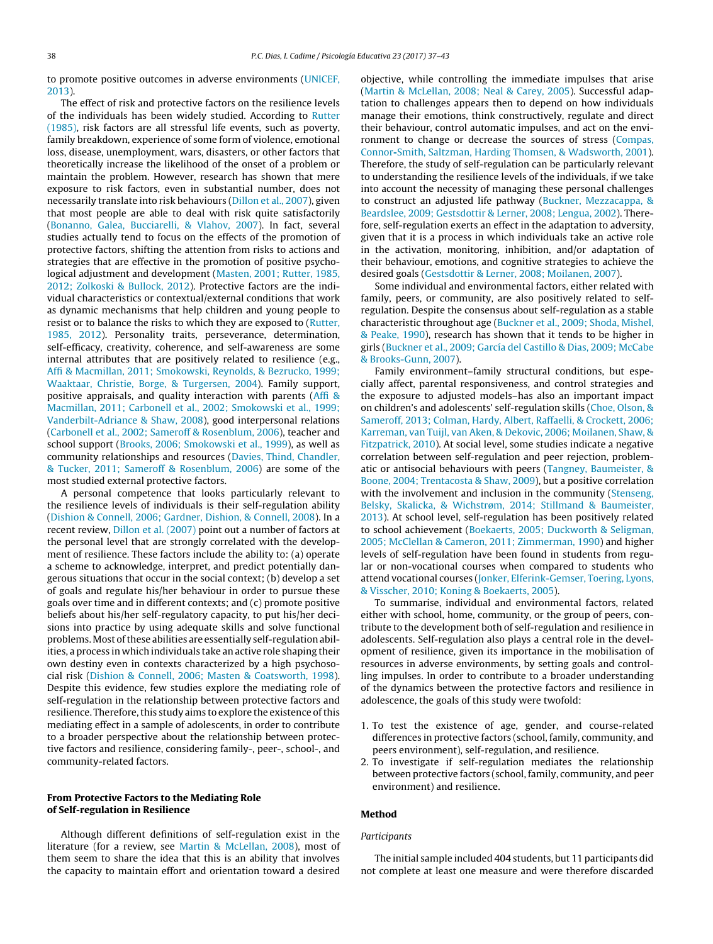to promote positive outcomes in adverse environments [\(UNICEF,](#page-6-0) [2013\).](#page-6-0)

The effect of risk and protective factors on the resilience levels of the individuals has been widely studied. According to [Rutter](#page-5-0) [\(1985\),](#page-5-0) risk factors are all stressful life events, such as poverty, family breakdown, experience of some form of violence, emotional loss, disease, unemployment, wars, disasters, or other factors that theoretically increase the likelihood of the onset of a problem or maintain the problem. However, research has shown that mere exposure to risk factors, even in substantial number, does not necessarily translate into risk behaviours ([Dillon](#page-5-0) et [al.,](#page-5-0) [2007\),](#page-5-0) given that most people are able to deal with risk quite satisfactorily ([Bonanno,](#page-5-0) [Galea,](#page-5-0) [Bucciarelli,](#page-5-0) [&](#page-5-0) [Vlahov,](#page-5-0) [2007\).](#page-5-0) In fact, several studies actually tend to focus on the effects of the promotion of protective factors, shifting the attention from risks to actions and strategies that are effective in the promotion of positive psychological adjustment and development [\(Masten,](#page-5-0) [2001;](#page-5-0) [Rutter,](#page-5-0) [1985,](#page-5-0) [2012;](#page-5-0) [Zolkoski](#page-5-0) [&](#page-5-0) [Bullock,](#page-5-0) [2012\).](#page-5-0) Protective factors are the individual characteristics or contextual/external conditions that work as dynamic mechanisms that help children and young people to resist or to balance the risks to which they are exposed to [\(Rutter,](#page-5-0) [1985,](#page-5-0) [2012\).](#page-5-0) Personality traits, perseverance, determination, self-efficacy, creativity, coherence, and self-awareness are some internal attributes that are positively related to resilience (e.g., [Affi](#page-5-0) [&](#page-5-0) [Macmillan,](#page-5-0) [2011;](#page-5-0) [Smokowski,](#page-5-0) [Reynolds,](#page-5-0) [&](#page-5-0) [Bezrucko,](#page-5-0) [1999;](#page-5-0) [Waaktaar,](#page-5-0) [Christie,](#page-5-0) [Borge,](#page-5-0) [&](#page-5-0) [Turgersen,](#page-5-0) [2004\).](#page-5-0) Family support, positive appraisals, and quality interaction with parents ([Affi](#page-5-0) [&](#page-5-0) [Macmillan,](#page-5-0) [2011;](#page-5-0) [Carbonell](#page-5-0) et [al.,](#page-5-0) [2002;](#page-5-0) [Smokowski](#page-5-0) et [al.,](#page-5-0) [1999;](#page-5-0) [Vanderbilt-Adriance](#page-5-0) [&](#page-5-0) [Shaw,](#page-5-0) [2008\),](#page-5-0) good interpersonal relations ([Carbonell](#page-5-0) et [al.,](#page-5-0) [2002;](#page-5-0) [Sameroff](#page-5-0) [&](#page-5-0) [Rosenblum,](#page-5-0) [2006\),](#page-5-0) teacher and school support [\(Brooks,](#page-5-0) [2006;](#page-5-0) [Smokowski](#page-5-0) et [al.,](#page-5-0) [1999\),](#page-5-0) as well as community relationships and resources [\(Davies,](#page-5-0) [Thind,](#page-5-0) [Chandler,](#page-5-0) [&](#page-5-0) [Tucker,](#page-5-0) [2011;](#page-5-0) [Sameroff](#page-5-0) [&](#page-5-0) [Rosenblum,](#page-5-0) [2006\)](#page-5-0) are some of the most studied external protective factors.

A personal competence that looks particularly relevant to the resilience levels of individuals is their self-regulation ability ([Dishion](#page-5-0) [&](#page-5-0) [Connell,](#page-5-0) [2006;](#page-5-0) [Gardner,](#page-5-0) [Dishion,](#page-5-0) [&](#page-5-0) [Connell,](#page-5-0) [2008\).](#page-5-0) In a recent review, [Dillon](#page-5-0) et [al.](#page-5-0) [\(2007\)](#page-5-0) point out a number of factors at the personal level that are strongly correlated with the development of resilience. These factors include the ability to: (a) operate a scheme to acknowledge, interpret, and predict potentially dangerous situations that occur in the social context; (b) develop a set of goals and regulate his/her behaviour in order to pursue these goals over time and in different contexts; and (c) promote positive beliefs about his/her self-regulatory capacity, to put his/her decisions into practice by using adequate skills and solve functional problems. Most of these abilities are essentially self-regulation abilities, a process in which individuals take an active role shaping their own destiny even in contexts characterized by a high psychosocial risk ([Dishion](#page-5-0) [&](#page-5-0) [Connell,](#page-5-0) [2006;](#page-5-0) [Masten](#page-5-0) [&](#page-5-0) [Coatsworth,](#page-5-0) [1998\).](#page-5-0) Despite this evidence, few studies explore the mediating role of self-regulation in the relationship between protective factors and resilience. Therefore, this study aims to explore the existence of this mediating effect in a sample of adolescents, in order to contribute to a broader perspective about the relationship between protective factors and resilience, considering family-, peer-, school-, and community-related factors.

## **From Protective Factors to the Mediating Role of Self-regulation in Resilience**

Although different definitions of self-regulation exist in the literature (for a review, see [Martin](#page-5-0) [&](#page-5-0) [McLellan,](#page-5-0) [2008\),](#page-5-0) most of them seem to share the idea that this is an ability that involves the capacity to maintain effort and orientation toward a desired

objective, while controlling the immediate impulses that arise [\(Martin](#page-5-0) [&](#page-5-0) [McLellan,](#page-5-0) [2008;](#page-5-0) [Neal](#page-5-0) [&](#page-5-0) [Carey,](#page-5-0) [2005\).](#page-5-0) Successful adaptation to challenges appears then to depend on how individuals manage their emotions, think constructively, regulate and direct their behaviour, control automatic impulses, and act on the environment to change or decrease the sources of stress ([Compas,](#page-5-0) [Connor](#page-5-0)**-**Smith, [Saltzman,](#page-5-0) [Harding](#page-5-0) [Thomsen,](#page-5-0) [&](#page-5-0) [Wadsworth,](#page-5-0) [2001\).](#page-5-0) Therefore, the study of self-regulation can be particularly relevant to understanding the resilience levels of the individuals, if we take into account the necessity of managing these personal challenges to construct an adjusted life pathway ([Buckner,](#page-5-0) [Mezzacappa,](#page-5-0) [&](#page-5-0) [Beardslee,](#page-5-0) [2009;](#page-5-0) [Gestsdottir](#page-5-0) [&](#page-5-0) [Lerner,](#page-5-0) [2008;](#page-5-0) [Lengua,](#page-5-0) [2002\).](#page-5-0) Therefore, self-regulation exerts an effect in the adaptation to adversity, given that it is a process in which individuals take an active role in the activation, monitoring, inhibition, and/or adaptation of their behaviour, emotions, and cognitive strategies to achieve the desired goals [\(Gestsdottir](#page-5-0) [&](#page-5-0) [Lerner,](#page-5-0) [2008;](#page-5-0) [Moilanen,](#page-5-0) [2007\).](#page-5-0)

Some individual and environmental factors, either related with family, peers, or community, are also positively related to selfregulation. Despite the consensus about self-regulation as a stable characteristic throughout age ([Buckner](#page-5-0) et [al.,](#page-5-0) [2009;](#page-5-0) [Shoda,](#page-5-0) [Mishel,](#page-5-0) [&](#page-5-0) [Peake,](#page-5-0) [1990\),](#page-5-0) research has shown that it tends to be higher in girls ([Buckner](#page-5-0) et [al.,](#page-5-0) [2009;](#page-5-0) [García](#page-5-0) [del](#page-5-0) [Castillo](#page-5-0) [&](#page-5-0) [Dias,](#page-5-0) [2009;](#page-5-0) [McCabe](#page-5-0) [&](#page-5-0) [Brooks-Gunn,](#page-5-0) [2007\).](#page-5-0)

Family environment–family structural conditions, but especially affect, parental responsiveness, and control strategies and the exposure to adjusted models–has also an important impact on children's and adolescents' self-regulation skills ([Choe,](#page-5-0) [Olson,](#page-5-0) [&](#page-5-0) [Sameroff,](#page-5-0) [2013;](#page-5-0) [Colman,](#page-5-0) [Hardy,](#page-5-0) [Albert,](#page-5-0) [Raffaelli,](#page-5-0) [&](#page-5-0) [Crockett,](#page-5-0) [2006;](#page-5-0) [Karreman,](#page-5-0) [van](#page-5-0) [Tuijl,](#page-5-0) [van](#page-5-0) [Aken,](#page-5-0) [&](#page-5-0) [Dekovic,](#page-5-0) [2006;](#page-5-0) [Moilanen,](#page-5-0) [Shaw,](#page-5-0) [&](#page-5-0) [Fitzpatrick,](#page-5-0) [2010\).](#page-5-0) At social level, some studies indicate a negative correlation between self-regulation and peer rejection, problematic or antisocial behaviours with peers ([Tangney,](#page-6-0) [Baumeister,](#page-6-0) [&](#page-6-0) [Boone,](#page-6-0) [2004;](#page-6-0) [Trentacosta](#page-6-0) [&](#page-6-0) [Shaw,](#page-6-0) [2009\),](#page-6-0) but a positive correlation with the involvement and inclusion in the community ([Stenseng,](#page-5-0) [Belsky,](#page-5-0) [Skalicka,](#page-5-0) [&](#page-5-0) [Wichstrøm,](#page-5-0) [2014;](#page-5-0) [Stillmand](#page-5-0) [&](#page-5-0) [Baumeister,](#page-5-0) [2013\).](#page-5-0) At school level, self-regulation has been positively related to school achievement [\(Boekaerts,](#page-5-0) [2005;](#page-5-0) [Duckworth](#page-5-0) [&](#page-5-0) [Seligman,](#page-5-0) [2005;](#page-5-0) [McClellan](#page-5-0) [&](#page-5-0) [Cameron,](#page-5-0) [2011;](#page-5-0) [Zimmerman,](#page-5-0) [1990\)](#page-5-0) and higher levels of self-regulation have been found in students from regular or non-vocational courses when compared to students who attend vocational courses [\(Jonker,](#page-5-0) [Elferink-Gemser,](#page-5-0) [Toering,](#page-5-0) [Lyons,](#page-5-0) [&](#page-5-0) [Visscher,](#page-5-0) [2010;](#page-5-0) [Koning](#page-5-0) [&](#page-5-0) [Boekaerts,](#page-5-0) [2005\).](#page-5-0)

To summarise, individual and environmental factors, related either with school, home, community, or the group of peers, contribute to the development both of self-regulation and resilience in adolescents. Self-regulation also plays a central role in the development of resilience, given its importance in the mobilisation of resources in adverse environments, by setting goals and controlling impulses. In order to contribute to a broader understanding of the dynamics between the protective factors and resilience in adolescence, the goals of this study were twofold:

- 1. To test the existence of age, gender, and course-related differences in protective factors (school, family, community, and peers environment), self-regulation, and resilience.
- 2. To investigate if self-regulation mediates the relationship between protective factors (school, family, community, and peer environment) and resilience.

#### **Method**

# Participants

The initial sample included 404 students, but 11 participants did not complete at least one measure and were therefore discarded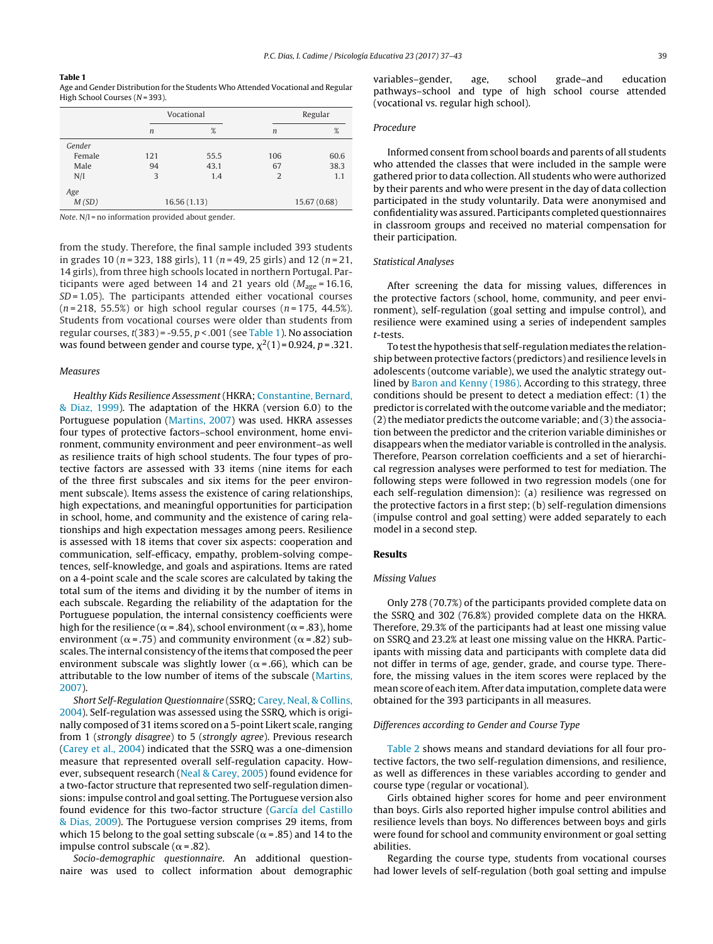#### **Table 1**

Age and Gender Distribution for the Students Who Attended Vocational and Regular High School Courses ( $N = 393$ ).

|        |     | Vocational  |                  | Regular      |  |
|--------|-----|-------------|------------------|--------------|--|
|        | n   | %           | $\boldsymbol{n}$ | %            |  |
| Gender |     |             |                  |              |  |
| Female | 121 | 55.5        | 106              | 60.6         |  |
| Male   | 94  | 43.1        | 67               | 38.3         |  |
| N/I    | 3   | 1.4         | $\overline{2}$   | 1.1          |  |
| Age    |     |             |                  |              |  |
| M(SD)  |     | 16.56(1.13) |                  | 15.67 (0.68) |  |

Note. N/I = no information provided about gender.

from the study. Therefore, the final sample included 393 students in grades 10 ( $n = 323$ , 188 girls), 11 ( $n = 49$ , 25 girls) and 12 ( $n = 21$ , 14 girls), from three high schools located in northern Portugal. Participants were aged between 14 and 21 years old ( $M<sub>age</sub> = 16.16$ ,  $SD = 1.05$ ). The participants attended either vocational courses  $(n = 218, 55.5%)$  or high school regular courses  $(n = 175, 44.5%).$ Students from vocational courses were older than students from regular courses,  $t(383) = -9.55$ ,  $p < .001$  (see Table 1). No association was found between gender and course type,  $\chi^2(1)$  = 0.924, p = .321.

#### Measures

Healthy Kids Resilience Assessment (HKRA; [Constantine,](#page-5-0) [Bernard,](#page-5-0) [&](#page-5-0) [Diaz,](#page-5-0) [1999\).](#page-5-0) The adaptation of the HKRA (version 6.0) to the Portuguese population [\(Martins,](#page-5-0) [2007\)](#page-5-0) was used. HKRA assesses four types of protective factors–school environment, home environment, community environment and peer environment–as well as resilience traits of high school students. The four types of protective factors are assessed with 33 items (nine items for each of the three first subscales and six items for the peer environment subscale). Items assess the existence of caring relationships, high expectations, and meaningful opportunities for participation in school, home, and community and the existence of caring relationships and high expectation messages among peers. Resilience is assessed with 18 items that cover six aspects: cooperation and communication, self-efficacy, empathy, problem-solving competences, self-knowledge, and goals and aspirations. Items are rated on a 4-point scale and the scale scores are calculated by taking the total sum of the items and dividing it by the number of items in each subscale. Regarding the reliability of the adaptation for the Portuguese population, the internal consistency coefficients were high for the resilience ( $\alpha$  = .84), school environment ( $\alpha$  = .83), home environment ( $\alpha$  = .75) and community environment ( $\alpha$  = .82) subscales. The internal consistency of the items that composed the peer environment subscale was slightly lower ( $\alpha$ =.66), which can be attributable to the low number of items of the subscale ([Martins,](#page-5-0) [2007\).](#page-5-0)

Short Self-Regulation Questionnaire (SSRQ; [Carey,](#page-5-0) [Neal,](#page-5-0) [&](#page-5-0) [Collins,](#page-5-0) [2004\).](#page-5-0) Self-regulation was assessed using the SSRQ, which is originally composed of 31 items scored on a 5-point Likert scale, ranging from 1 (strongly disagree) to 5 (strongly agree). Previous research ([Carey](#page-5-0) et [al.,](#page-5-0) [2004\)](#page-5-0) indicated that the SSRQ was a one-dimension measure that represented overall self-regulation capacity. However, subsequent research ([Neal](#page-5-0) [&](#page-5-0) [Carey,](#page-5-0) [2005\)](#page-5-0) found evidence for a two-factor structure that represented two self-regulation dimensions: impulse control and goal setting. The Portuguese version also found evidence for this two-factor structure [\(García](#page-5-0) [del](#page-5-0) [Castillo](#page-5-0) [&](#page-5-0) [Dias,](#page-5-0) [2009\).](#page-5-0) The Portuguese version comprises 29 items, from which 15 belong to the goal setting subscale ( $\alpha$  = .85) and 14 to the impulse control subscale ( $\alpha$  = .82).

Socio-demographic questionnaire. An additional questionnaire was used to collect information about demographic variables–gender, age, school grade–and education pathways–school and type of high school course attended (vocational vs. regular high school).

#### Procedure

Informed consentfrom school boards and parents of all students who attended the classes that were included in the sample were gathered prior to data collection. All students who were authorized by their parents and who were present in the day of data collection participated in the study voluntarily. Data were anonymised and confidentiality was assured. Participants completed questionnaires in classroom groups and received no material compensation for their participation.

#### Statistical Analyses

After screening the data for missing values, differences in the protective factors (school, home, community, and peer environment), self-regulation (goal setting and impulse control), and resilience were examined using a series of independent samples t-tests.

To test the hypothesis that self-regulation mediates the relationship between protective factors (predictors) and resilience levels in adolescents (outcome variable), we used the analytic strategy outlined by [Baron](#page-5-0) [and](#page-5-0) [Kenny](#page-5-0) [\(1986\).](#page-5-0) According to this strategy, three conditions should be present to detect a mediation effect: (1) the predictor is correlated with the outcome variable and the mediator;  $(2)$  the mediator predicts the outcome variable; and  $(3)$  the association between the predictor and the criterion variable diminishes or disappears when the mediator variable is controlled in the analysis. Therefore, Pearson correlation coefficients and a set of hierarchical regression analyses were performed to test for mediation. The following steps were followed in two regression models (one for each self-regulation dimension): (a) resilience was regressed on the protective factors in a first step; (b) self-regulation dimensions (impulse control and goal setting) were added separately to each model in a second step.

#### **Results**

#### Missing Values

Only 278 (70.7%) of the participants provided complete data on the SSRQ and 302 (76.8%) provided complete data on the HKRA. Therefore, 29.3% of the participants had at least one missing value on SSRQ and 23.2% at least one missing value on the HKRA. Participants with missing data and participants with complete data did not differ in terms of age, gender, grade, and course type. Therefore, the missing values in the item scores were replaced by the mean score of each item.After data imputation, complete data were obtained for the 393 participants in all measures.

#### Differences according to Gender and Course Type

[Table](#page-3-0) 2 shows means and standard deviations for all four protective factors, the two self-regulation dimensions, and resilience, as well as differences in these variables according to gender and course type (regular or vocational).

Girls obtained higher scores for home and peer environment than boys. Girls also reported higher impulse control abilities and resilience levels than boys. No differences between boys and girls were found for school and community environment or goal setting abilities.

Regarding the course type, students from vocational courses had lower levels of self-regulation (both goal setting and impulse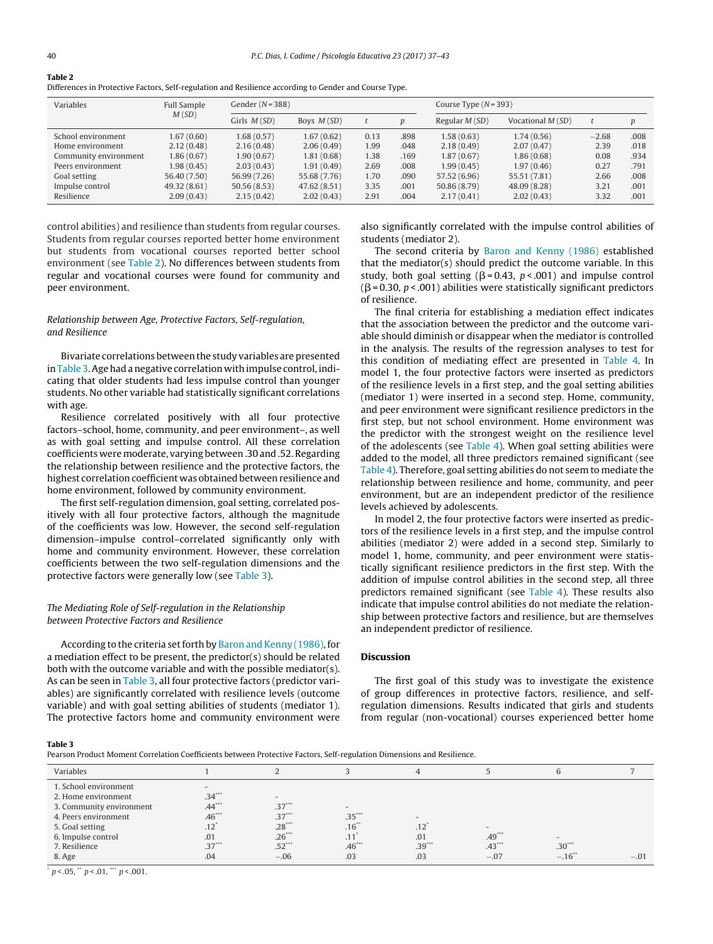<span id="page-3-0"></span>**Table 2**

| Differences in Protective Factors, Self-regulation and Resilience according to Gender and Course Type. |  |  |  |
|--------------------------------------------------------------------------------------------------------|--|--|--|
|--------------------------------------------------------------------------------------------------------|--|--|--|

| Variables             |              | Gender $(N=388)$ |                             |      |      | Course Type $(N=393)$ |                          |         |                  |
|-----------------------|--------------|------------------|-----------------------------|------|------|-----------------------|--------------------------|---------|------------------|
|                       | M(SD)        | Girls $M(SD)$    | Boys <i>M</i> ( <i>SD</i> ) |      | Ď    | Regular $M(SD)$       | Vocational <i>M</i> (SD) |         | $\boldsymbol{p}$ |
| School environment    | 1.67(0.60)   | 1.68(0.57)       | 1.67(0.62)                  | 0.13 | .898 | 1.58(0.63)            | 1.74(0.56)               | $-2.68$ | .008             |
| Home environment      | 2.12(0.48)   | 2.16(0.48)       | 2.06(0.49)                  | 1.99 | .048 | 2.18(0.49)            | 2.07(0.47)               | 2.39    | .018             |
| Community environment | 1.86(0.67)   | 1.90(0.67)       | 1.81(0.68)                  | 1.38 | .169 | 1.87(0.67)            | 1.86(0.68)               | 0.08    | .934             |
| Peers environment     | 1.98 (0.45)  | 2.03(0.43)       | 1.91(0.49)                  | 2.69 | .008 | 1.99(0.45)            | 1.97(0.46)               | 0.27    | .791             |
| Goal setting          | 56.40 (7.50) | 56.99 (7.26)     | 55.68 (7.76)                | 1.70 | .090 | 57.52 (6.96)          | 55.51 (7.81)             | 2.66    | .008             |
| Impulse control       | 49.32(8.61)  | 50.56(8.53)      | 47.62 (8.51)                | 3.35 | .001 | 50.86 (8.79)          | 48.09 (8.28)             | 3.21    | .001             |
| Resilience            | 2.09(0.43)   | 2.15(0.42)       | 2.02(0.43)                  | 2.91 | .004 | 2.17(0.41)            | 2.02(0.43)               | 3.32    | .001             |

control abilities) and resilience than students from regular courses. Students from regular courses reported better home environment but students from vocational courses reported better school environment (see Table 2). No differences between students from regular and vocational courses were found for community and peer environment.

## Relationship between Age, Protective Factors, Self-regulation, and Resilience

Bivariate correlations betweenthe study variables are presented in Table 3. Age had a negative correlation with impulse control, indicating that older students had less impulse control than younger students. No other variable had statistically significant correlations with age.

Resilience correlated positively with all four protective factors–school, home, community, and peer environment–, as well as with goal setting and impulse control. All these correlation coefficients were moderate, varying between .30 and .52. Regarding the relationship between resilience and the protective factors, the highest correlation coefficient was obtained between resilience and home environment, followed by community environment.

The first self-regulation dimension, goal setting, correlated positively with all four protective factors, although the magnitude of the coefficients was low. However, the second self-regulation dimension–impulse control–correlated significantly only with home and community environment. However, these correlation coefficients between the two self-regulation dimensions and the protective factors were generally low (see Table 3).

# The Mediating Role of Self-regulation in the Relationship between Protective Factors and Resilience

According to the criteria set forth by [Baron](#page-5-0) [and](#page-5-0) [Kenny](#page-5-0) (1986), for a mediation effect to be present, the predictor(s) should be related both with the outcome variable and with the possible mediator(s). As can be seen in Table 3, all four protective factors (predictor variables) are significantly correlated with resilience levels (outcome variable) and with goal setting abilities of students (mediator 1). The protective factors home and community environment were

also significantly correlated with the impulse control abilities of students (mediator 2).

The second criteria by [Baron](#page-5-0) [and](#page-5-0) [Kenny](#page-5-0) [\(1986\)](#page-5-0) established that the mediator(s) should predict the outcome variable. In this study, both goal setting  $(\beta = 0.43, p < .001)$  and impulse control  $( \beta = 0.30, p < .001)$  abilities were statistically significant predictors of resilience.

The final criteria for establishing a mediation effect indicates that the association between the predictor and the outcome variable should diminish or disappear when the mediator is controlled in the analysis. The results of the regression analyses to test for this condition of mediating effect are presented in [Table](#page-4-0) 4. In model 1, the four protective factors were inserted as predictors of the resilience levels in a first step, and the goal setting abilities (mediator 1) were inserted in a second step. Home, community, and peer environment were significant resilience predictors in the first step, but not school environment. Home environment was the predictor with the strongest weight on the resilience level of the adolescents (see [Table](#page-4-0) 4). When goal setting abilities were added to the model, all three predictors remained significant (see [Table](#page-4-0) 4). Therefore, goal setting abilities do not seem to mediate the relationship between resilience and home, community, and peer environment, but are an independent predictor of the resilience levels achieved by adolescents.

In model 2, the four protective factors were inserted as predictors of the resilience levels in a first step, and the impulse control abilities (mediator 2) were added in a second step. Similarly to model 1, home, community, and peer environment were statistically significant resilience predictors in the first step. With the addition of impulse control abilities in the second step, all three predictors remained significant (see [Table](#page-4-0) 4). These results also indicate that impulse control abilities do not mediate the relationship between protective factors and resilience, but are themselves an independent predictor of resilience.

#### **Discussion**

The first goal of this study was to investigate the existence of group differences in protective factors, resilience, and selfregulation dimensions. Results indicated that girls and students from regular (non-vocational) courses experienced better home

#### **Table 3**

Pearson Product Moment Correlation Coefficients between Protective Factors, Self-regulation Dimensions and Resilience.

| Variables                                                                                                                                                  |                                                                                                     |                                                                                      |                                         | 4                                                              |                                                  |                    |        |
|------------------------------------------------------------------------------------------------------------------------------------------------------------|-----------------------------------------------------------------------------------------------------|--------------------------------------------------------------------------------------|-----------------------------------------|----------------------------------------------------------------|--------------------------------------------------|--------------------|--------|
| 1. School environment<br>2. Home environment<br>3. Community environment<br>4. Peers environment<br>5. Goal setting<br>6. Impulse control<br>7. Resilience | $\overline{\phantom{0}}$<br>$.34***$<br>$.44***$<br>$.46***$<br>.12 <sup>′</sup><br>.01<br>$.37***$ | $\overline{\phantom{0}}$<br>$.37***$<br>$.37***$<br>$.28***$<br>$.26***$<br>$.52***$ | $\sim$<br>$35***$<br>$.16*$<br>$.46***$ | $\overline{\phantom{0}}$<br>$.12^{\degree}$<br>.01<br>$.39***$ | $\overline{\phantom{0}}$<br>$.49***$<br>$.43***$ | $\sim$<br>$.30***$ |        |
| 8. Age                                                                                                                                                     | .04                                                                                                 | $-.06$                                                                               | .03                                     | .03                                                            | $-.07$                                           | $-.16"$            | $-.01$ |

 $p < .05$ , \*\*  $p < .01$ , \*\*\*  $p < .001$ .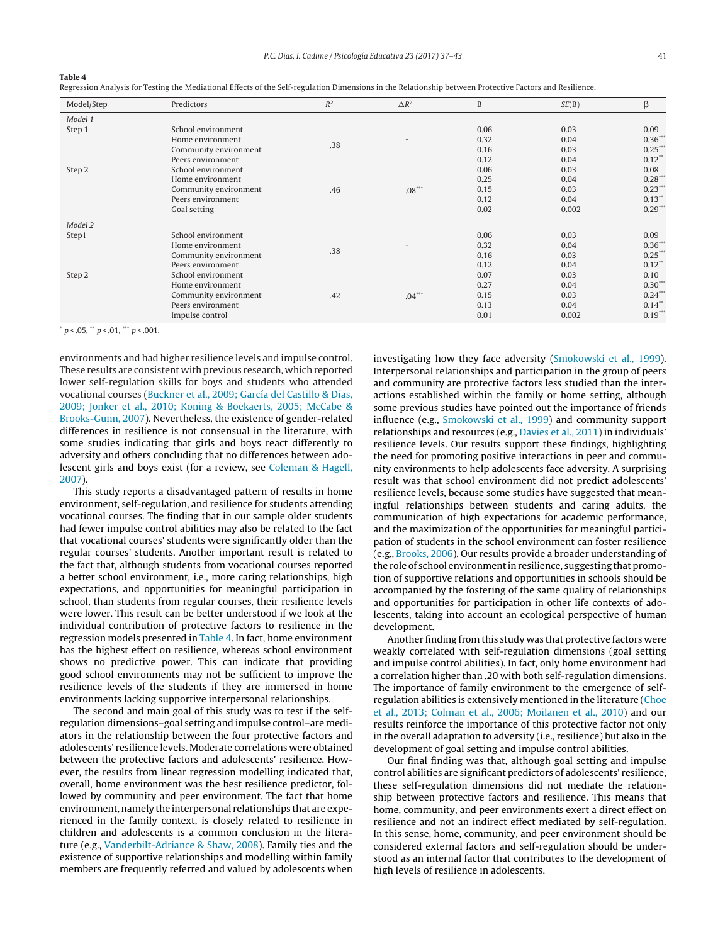P.C. Dias, I. Cadime / Psicología Educativa 23 (2017) 37–43 41

#### <span id="page-4-0"></span>**Table 4**

Regression Analysis for Testing the Mediational Effects of the Self-regulation Dimensions in the Relationship between Protective Factors and Resilience.

| Model/Step | Predictors            | $R^2$ | $\Delta R^2$             | B    | SE(B) | β         |
|------------|-----------------------|-------|--------------------------|------|-------|-----------|
| Model 1    |                       |       |                          |      |       |           |
| Step 1     | School environment    |       |                          | 0.06 | 0.03  | 0.09      |
|            | Home environment      | .38   | $\overline{\phantom{0}}$ | 0.32 | 0.04  | $0.36***$ |
|            | Community environment |       |                          | 0.16 | 0.03  | $0.25***$ |
|            | Peers environment     |       |                          | 0.12 | 0.04  | $0.12$ ** |
| Step 2     | School environment    |       |                          | 0.06 | 0.03  | 0.08      |
|            | Home environment      |       |                          | 0.25 | 0.04  | $0.28***$ |
|            | Community environment | .46   | $.08***$                 | 0.15 | 0.03  | $0.23***$ |
|            | Peers environment     |       |                          | 0.12 | 0.04  | $0.13$ ** |
|            | Goal setting          |       |                          | 0.02 | 0.002 | $0.29***$ |
| Model 2    |                       |       |                          |      |       |           |
| Step1      | School environment    |       |                          | 0.06 | 0.03  | 0.09      |
|            | Home environment      |       |                          | 0.32 | 0.04  | $0.36***$ |
|            | Community environment | .38   |                          | 0.16 | 0.03  | $0.25***$ |
|            | Peers environment     |       |                          | 0.12 | 0.04  | $0.12$ ** |
| Step 2     | School environment    |       |                          | 0.07 | 0.03  | 0.10      |
|            | Home environment      |       |                          | 0.27 | 0.04  | $0.30***$ |
|            | Community environment | .42   | $.04***$                 | 0.15 | 0.03  | $0.24***$ |
|            | Peers environment     |       |                          | 0.13 | 0.04  | $0.14***$ |
|            | Impulse control       |       |                          | 0.01 | 0.002 | $0.19***$ |

 $*$  p < .05,  $*$  p < .01,  $**$  p < .001.

environments and had higher resilience levels and impulse control. These results are consistent with previous research, which reported lower self-regulation skills for boys and students who attended vocational courses [\(Buckner](#page-5-0) et [al.,](#page-5-0) [2009;](#page-5-0) [García](#page-5-0) [del](#page-5-0) [Castillo](#page-5-0) [&](#page-5-0) [Dias,](#page-5-0) [2009;](#page-5-0) [Jonker](#page-5-0) et [al.,](#page-5-0) [2010;](#page-5-0) [Koning](#page-5-0) [&](#page-5-0) [Boekaerts,](#page-5-0) [2005;](#page-5-0) [McCabe](#page-5-0) [&](#page-5-0) [Brooks-Gunn,](#page-5-0) [2007\).](#page-5-0) Nevertheless, the existence of gender-related differences in resilience is not consensual in the literature, with some studies indicating that girls and boys react differently to adversity and others concluding that no differences between adolescent girls and boys exist (for a review, see [Coleman](#page-5-0) [&](#page-5-0) [Hagell,](#page-5-0) [2007\).](#page-5-0)

This study reports a disadvantaged pattern of results in home environment, self-regulation, and resilience for students attending vocational courses. The finding that in our sample older students had fewer impulse control abilities may also be related to the fact that vocational courses' students were significantly older than the regular courses' students. Another important result is related to the fact that, although students from vocational courses reported a better school environment, i.e., more caring relationships, high expectations, and opportunities for meaningful participation in school, than students from regular courses, their resilience levels were lower. This result can be better understood if we look at the individual contribution of protective factors to resilience in the regression models presented in Table 4. In fact, home environment has the highest effect on resilience, whereas school environment shows no predictive power. This can indicate that providing good school environments may not be sufficient to improve the resilience levels of the students if they are immersed in home environments lacking supportive interpersonal relationships.

The second and main goal of this study was to test if the selfregulation dimensions–goal setting and impulse control–are mediators in the relationship between the four protective factors and adolescents' resilience levels. Moderate correlations were obtained between the protective factors and adolescents' resilience. However, the results from linear regression modelling indicated that, overall, home environment was the best resilience predictor, followed by community and peer environment. The fact that home environment, namely the interpersonal relationships that are experienced in the family context, is closely related to resilience in children and adolescents is a common conclusion in the literature (e.g., [Vanderbilt-Adriance](#page-6-0) [&](#page-6-0) [Shaw,](#page-6-0) [2008\).](#page-6-0) Family ties and the existence of supportive relationships and modelling within family members are frequently referred and valued by adolescents when

investigating how they face adversity ([Smokowski](#page-5-0) et [al.,](#page-5-0) [1999\).](#page-5-0) Interpersonal relationships and participation in the group of peers and community are protective factors less studied than the interactions established within the family or home setting, although some previous studies have pointed out the importance of friends influence (e.g., [Smokowski](#page-5-0) et [al.,](#page-5-0) [1999\)](#page-5-0) and community support relationships and resources (e.g., [Davies](#page-5-0) et [al.,](#page-5-0) [2011\)](#page-5-0) in individuals' resilience levels. Our results support these findings, highlighting the need for promoting positive interactions in peer and community environments to help adolescents face adversity. A surprising result was that school environment did not predict adolescents' resilience levels, because some studies have suggested that meaningful relationships between students and caring adults, the communication of high expectations for academic performance, and the maximization of the opportunities for meaningful participation of students in the school environment can foster resilience (e.g., [Brooks,](#page-5-0) [2006\).](#page-5-0) Our results provide a broader understanding of the role of school environment in resilience, suggesting that promotion of supportive relations and opportunities in schools should be accompanied by the fostering of the same quality of relationships and opportunities for participation in other life contexts of adolescents, taking into account an ecological perspective of human development.

Another finding from this study was that protective factors were weakly correlated with self-regulation dimensions (goal setting and impulse control abilities). In fact, only home environment had a correlation higher than .20 with both self-regulation dimensions. The importance of family environment to the emergence of selfregulation abilities is extensively mentioned in the literature ([Choe](#page-5-0) et [al.,](#page-5-0) [2013;](#page-5-0) [Colman](#page-5-0) et [al.,](#page-5-0) [2006;](#page-5-0) [Moilanen](#page-5-0) et [al.,](#page-5-0) [2010\)](#page-5-0) and our results reinforce the importance of this protective factor not only in the overall adaptation to adversity (i.e., resilience) but also in the development of goal setting and impulse control abilities.

Our final finding was that, although goal setting and impulse control abilities are significant predictors of adolescents' resilience, these self-regulation dimensions did not mediate the relationship between protective factors and resilience. This means that home, community, and peer environments exert a direct effect on resilience and not an indirect effect mediated by self-regulation. In this sense, home, community, and peer environment should be considered external factors and self-regulation should be understood as an internal factor that contributes to the development of high levels of resilience in adolescents.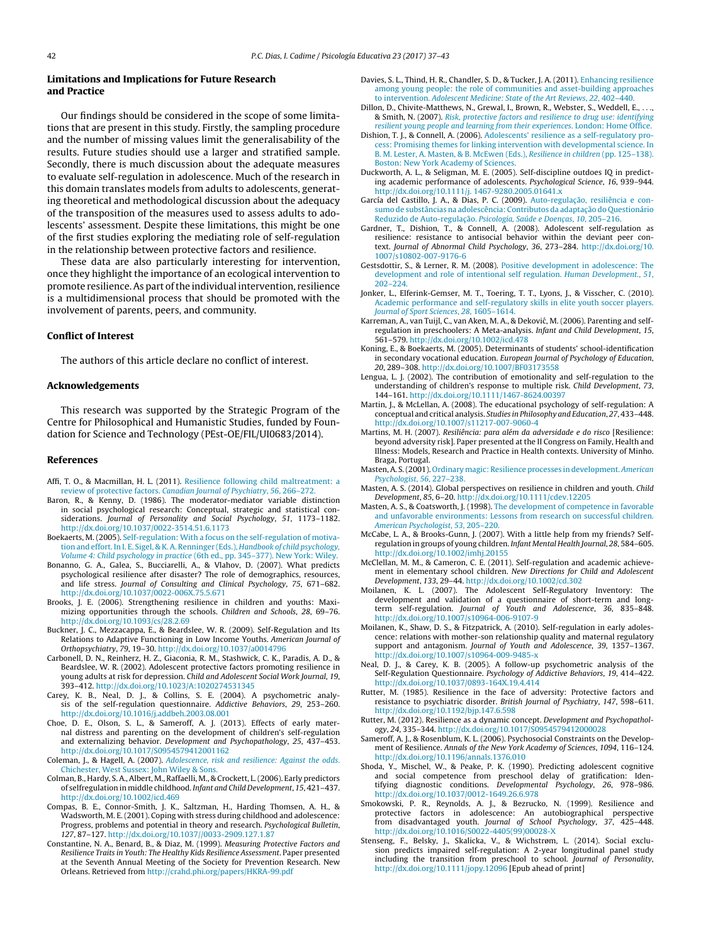### <span id="page-5-0"></span>**Limitations and Implications for Future Research and Practice**

Our findings should be considered in the scope of some limitations that are present in this study. Firstly, the sampling procedure and the number of missing values limit the generalisability of the results. Future studies should use a larger and stratified sample. Secondly, there is much discussion about the adequate measures to evaluate self-regulation in adolescence. Much of the research in this domain translates models from adults to adolescents, generating theoretical and methodological discussion about the adequacy of the transposition of the measures used to assess adults to adolescents' assessment. Despite these limitations, this might be one of the first studies exploring the mediating role of self-regulation in the relationship between protective factors and resilience.

These data are also particularly interesting for intervention, once they highlight the importance of an ecological intervention to promote resilience. As part of the individual intervention, resilience is a multidimensional process that should be promoted with the involvement of parents, peers, and community.

#### **Conflict of Interest**

The authors of this article declare no conflict of interest.

#### **Acknowledgements**

This research was supported by the Strategic Program of the Centre for Philosophical and Humanistic Studies, funded by Foundation for Science and Technology (PEst-OE/FIL/UI0683/2014).

#### **References**

- Affi, T. O., & Macmillan, H. L. (2011). [Resilience](http://refhub.elsevier.com/S1135-755X(16)30034-3/sbref0005) [following](http://refhub.elsevier.com/S1135-755X(16)30034-3/sbref0005) [child](http://refhub.elsevier.com/S1135-755X(16)30034-3/sbref0005) [maltreatment:](http://refhub.elsevier.com/S1135-755X(16)30034-3/sbref0005) [a](http://refhub.elsevier.com/S1135-755X(16)30034-3/sbref0005) [review](http://refhub.elsevier.com/S1135-755X(16)30034-3/sbref0005) [of](http://refhub.elsevier.com/S1135-755X(16)30034-3/sbref0005) [protective](http://refhub.elsevier.com/S1135-755X(16)30034-3/sbref0005) [factors.](http://refhub.elsevier.com/S1135-755X(16)30034-3/sbref0005) [Canadian](http://refhub.elsevier.com/S1135-755X(16)30034-3/sbref0005) [Journal](http://refhub.elsevier.com/S1135-755X(16)30034-3/sbref0005) [of](http://refhub.elsevier.com/S1135-755X(16)30034-3/sbref0005) [Psychiatry](http://refhub.elsevier.com/S1135-755X(16)30034-3/sbref0005)[,](http://refhub.elsevier.com/S1135-755X(16)30034-3/sbref0005) [56](http://refhub.elsevier.com/S1135-755X(16)30034-3/sbref0005)[,](http://refhub.elsevier.com/S1135-755X(16)30034-3/sbref0005) [266–272.](http://refhub.elsevier.com/S1135-755X(16)30034-3/sbref0005)
- Baron, R., & Kenny, D. (1986). The moderator-mediator variable distinction in social psychological research: Conceptual, strategic and statistical considerations. Journal of Personality and Social Psychology, 51, 1173–1182. [http://dx.doi.org/10.1037/0022-3514.51.6.1173](dx.doi.org/10.1037/0022-3514.51.6.1173)
- Boekaerts, M. (2005). [Self-regulation:](http://refhub.elsevier.com/S1135-755X(16)30034-3/sbref0015) [With](http://refhub.elsevier.com/S1135-755X(16)30034-3/sbref0015) [a](http://refhub.elsevier.com/S1135-755X(16)30034-3/sbref0015) [focus](http://refhub.elsevier.com/S1135-755X(16)30034-3/sbref0015) [on](http://refhub.elsevier.com/S1135-755X(16)30034-3/sbref0015) [the](http://refhub.elsevier.com/S1135-755X(16)30034-3/sbref0015) [self-regulation](http://refhub.elsevier.com/S1135-755X(16)30034-3/sbref0015) [of](http://refhub.elsevier.com/S1135-755X(16)30034-3/sbref0015) [motiva](http://refhub.elsevier.com/S1135-755X(16)30034-3/sbref0015)[tion](http://refhub.elsevier.com/S1135-755X(16)30034-3/sbref0015) [and](http://refhub.elsevier.com/S1135-755X(16)30034-3/sbref0015) [effort.](http://refhub.elsevier.com/S1135-755X(16)30034-3/sbref0015) [In](http://refhub.elsevier.com/S1135-755X(16)30034-3/sbref0015) [I.](http://refhub.elsevier.com/S1135-755X(16)30034-3/sbref0015) [E.](http://refhub.elsevier.com/S1135-755X(16)30034-3/sbref0015) [Sigel,](http://refhub.elsevier.com/S1135-755X(16)30034-3/sbref0015) [&](http://refhub.elsevier.com/S1135-755X(16)30034-3/sbref0015) [K.](http://refhub.elsevier.com/S1135-755X(16)30034-3/sbref0015) [A.](http://refhub.elsevier.com/S1135-755X(16)30034-3/sbref0015) [Renninger](http://refhub.elsevier.com/S1135-755X(16)30034-3/sbref0015) [\(Eds.\),](http://refhub.elsevier.com/S1135-755X(16)30034-3/sbref0015) [Handbook](http://refhub.elsevier.com/S1135-755X(16)30034-3/sbref0015) [of](http://refhub.elsevier.com/S1135-755X(16)30034-3/sbref0015) [child](http://refhub.elsevier.com/S1135-755X(16)30034-3/sbref0015) [psychology,](http://refhub.elsevier.com/S1135-755X(16)30034-3/sbref0015) [Volume](http://refhub.elsevier.com/S1135-755X(16)30034-3/sbref0015) [4:](http://refhub.elsevier.com/S1135-755X(16)30034-3/sbref0015) [Child](http://refhub.elsevier.com/S1135-755X(16)30034-3/sbref0015) [psychology](http://refhub.elsevier.com/S1135-755X(16)30034-3/sbref0015) [in](http://refhub.elsevier.com/S1135-755X(16)30034-3/sbref0015) [practice](http://refhub.elsevier.com/S1135-755X(16)30034-3/sbref0015) [\(6th](http://refhub.elsevier.com/S1135-755X(16)30034-3/sbref0015) [ed.,](http://refhub.elsevier.com/S1135-755X(16)30034-3/sbref0015) [pp.](http://refhub.elsevier.com/S1135-755X(16)30034-3/sbref0015) [345–377\).](http://refhub.elsevier.com/S1135-755X(16)30034-3/sbref0015) [New](http://refhub.elsevier.com/S1135-755X(16)30034-3/sbref0015) [York:](http://refhub.elsevier.com/S1135-755X(16)30034-3/sbref0015) [Wiley.](http://refhub.elsevier.com/S1135-755X(16)30034-3/sbref0015)
- Bonanno, G. A., Galea, S., Bucciarelli, A., & Vlahov, D. (2007). What predicts psychological resilience after disaster? The role of demographics, resources, and life stress. Journal of Consulting and Clinical Psychology, 75, 671–682. [http://dx.doi.org/10.1037/0022-006X.75.5.671](dx.doi.org/10.1037/0022-006X.75.5.671)
- Brooks, J. E. (2006). Strengthening resilience in children and youths: Maximizing opportunities through the schools. Children and Schools, 28, 69–76. [http://dx.doi.org/10.1093/cs/28.2.69](dx.doi.org/10.1093/cs/28.2.69)
- Buckner, J. C., Mezzacappa, E., & Beardslee, W. R. (2009). Self-Regulation and Its Relations to Adaptive Functioning in Low Income Youths. American Journal of Orthopsychiatry, 79, 19–30. [http://dx.doi.org/10.1037/a0014796](dx.doi.org/10.1037/a0014796)
- Carbonell, D. N., Reinherz, H. Z., Giaconia, R. M., Stashwick, C. K., Paradis, A. D., & Beardslee, W. R. (2002). Adolescent protective factors promoting resilience in young adults at risk for depression. Child and Adolescent Social Work Journal, 19, 393–412. [http://dx.doi.org/10.1023/A:1020274531345](dx.doi.org/10.1023/A:1020274531345)
- Carey, K. B., Neal, D. J., & Collins, S. E. (2004). A psychometric analysis of the self-regulation questionnaire. Addictive Behaviors, 29, 253–260. [http://dx.doi.org/10.1016/j.addbeh.2003.08.001](dx.doi.org/10.1016/j.addbeh.2003.08.001)
- Choe, D. E., Olson, S. L., & Sameroff, A. J. (2013). Effects of early maternal distress and parenting on the development of children's self-regulation and externalizing behavior. Development and Psychopathology, 25, 437–453. [http://dx.doi.org/10.1017/S0954579412001162](dx.doi.org/10.1017/S0954579412001162)
- Coleman, J., & Hagell, A. (2007). [Adolescence,](http://refhub.elsevier.com/S1135-755X(16)30034-3/sbref0240) [risk](http://refhub.elsevier.com/S1135-755X(16)30034-3/sbref0240) [and](http://refhub.elsevier.com/S1135-755X(16)30034-3/sbref0240) [resilience:](http://refhub.elsevier.com/S1135-755X(16)30034-3/sbref0240) [Against](http://refhub.elsevier.com/S1135-755X(16)30034-3/sbref0240) [the](http://refhub.elsevier.com/S1135-755X(16)30034-3/sbref0240) [odds](http://refhub.elsevier.com/S1135-755X(16)30034-3/sbref0240)[.](http://refhub.elsevier.com/S1135-755X(16)30034-3/sbref0240) [Chichester,](http://refhub.elsevier.com/S1135-755X(16)30034-3/sbref0240) [West](http://refhub.elsevier.com/S1135-755X(16)30034-3/sbref0240) [Sussex:](http://refhub.elsevier.com/S1135-755X(16)30034-3/sbref0240) [John](http://refhub.elsevier.com/S1135-755X(16)30034-3/sbref0240) [Wiley](http://refhub.elsevier.com/S1135-755X(16)30034-3/sbref0240) [&](http://refhub.elsevier.com/S1135-755X(16)30034-3/sbref0240) [Sons.](http://refhub.elsevier.com/S1135-755X(16)30034-3/sbref0240)
- Colman, B., Hardy, S. A., Albert, M., Raffaelli, M., & Crockett, L.(2006). Early predictors of selfregulation in middle childhood. Infant and Child Development, 15, 421–437. [http://dx.doi.org/10.1002/icd.469](dx.doi.org/10.1002/icd.469)
- Compas, B. E., Connor-Smith, J. K., Saltzman, H., Harding Thomsen, A. H., & Wadsworth, M. E. (2001). Coping with stress during childhood and adolescence: Progress, problems and potential in theory and research. Psychological Bulletin, 127, 87–127. [http://dx.doi.org/10.1037//0033-2909.127.1.87](dx.doi.org/10.1037//0033-2909.127.1.87)
- Constantine, N. A., Benard, B., & Diaz, M. (1999). Measuring Protective Factors and Resilience Traits in Youth: The Healthy Kids Resilience Assessment. Paper presented at the Seventh Annual Meeting of the Society for Prevention Research. New Orleans. Retrieved from <http://crahd.phi.org/papers/HKRA-99.pdf>
- Davies, S. L., Thind, H. R., Chandler, S. D., & Tucker, J. A. (2011). [Enhancing](http://refhub.elsevier.com/S1135-755X(16)30034-3/sbref0070) [resilience](http://refhub.elsevier.com/S1135-755X(16)30034-3/sbref0070) [among](http://refhub.elsevier.com/S1135-755X(16)30034-3/sbref0070) [young](http://refhub.elsevier.com/S1135-755X(16)30034-3/sbref0070) [people:](http://refhub.elsevier.com/S1135-755X(16)30034-3/sbref0070) [the](http://refhub.elsevier.com/S1135-755X(16)30034-3/sbref0070) [role](http://refhub.elsevier.com/S1135-755X(16)30034-3/sbref0070) [of](http://refhub.elsevier.com/S1135-755X(16)30034-3/sbref0070) [communities](http://refhub.elsevier.com/S1135-755X(16)30034-3/sbref0070) [and](http://refhub.elsevier.com/S1135-755X(16)30034-3/sbref0070) [asset-building](http://refhub.elsevier.com/S1135-755X(16)30034-3/sbref0070) [approaches](http://refhub.elsevier.com/S1135-755X(16)30034-3/sbref0070) [to](http://refhub.elsevier.com/S1135-755X(16)30034-3/sbref0070) [intervention.](http://refhub.elsevier.com/S1135-755X(16)30034-3/sbref0070) [Adolescent](http://refhub.elsevier.com/S1135-755X(16)30034-3/sbref0070) [Medicine:](http://refhub.elsevier.com/S1135-755X(16)30034-3/sbref0070) [State](http://refhub.elsevier.com/S1135-755X(16)30034-3/sbref0070) [of](http://refhub.elsevier.com/S1135-755X(16)30034-3/sbref0070) [the](http://refhub.elsevier.com/S1135-755X(16)30034-3/sbref0070) [Art](http://refhub.elsevier.com/S1135-755X(16)30034-3/sbref0070) [Reviews](http://refhub.elsevier.com/S1135-755X(16)30034-3/sbref0070)[,](http://refhub.elsevier.com/S1135-755X(16)30034-3/sbref0070) [22](http://refhub.elsevier.com/S1135-755X(16)30034-3/sbref0070)[,](http://refhub.elsevier.com/S1135-755X(16)30034-3/sbref0070) [402](http://refhub.elsevier.com/S1135-755X(16)30034-3/sbref0070)–[440.](http://refhub.elsevier.com/S1135-755X(16)30034-3/sbref0070)
- Dillon, D., Chivite-Matthews, N., Grewal, I., Brown, R., Webster, S., Weddell, E., & Smith, N. (2007). [Risk,](http://refhub.elsevier.com/S1135-755X(16)30034-3/sbref0075) [protective](http://refhub.elsevier.com/S1135-755X(16)30034-3/sbref0075) [factors](http://refhub.elsevier.com/S1135-755X(16)30034-3/sbref0075) [and](http://refhub.elsevier.com/S1135-755X(16)30034-3/sbref0075) [resilience](http://refhub.elsevier.com/S1135-755X(16)30034-3/sbref0075) [to](http://refhub.elsevier.com/S1135-755X(16)30034-3/sbref0075) [drug](http://refhub.elsevier.com/S1135-755X(16)30034-3/sbref0075) [use:](http://refhub.elsevier.com/S1135-755X(16)30034-3/sbref0075) [identifying](http://refhub.elsevier.com/S1135-755X(16)30034-3/sbref0075) [resilient](http://refhub.elsevier.com/S1135-755X(16)30034-3/sbref0075) [young](http://refhub.elsevier.com/S1135-755X(16)30034-3/sbref0075) [people](http://refhub.elsevier.com/S1135-755X(16)30034-3/sbref0075) [and](http://refhub.elsevier.com/S1135-755X(16)30034-3/sbref0075) [learning](http://refhub.elsevier.com/S1135-755X(16)30034-3/sbref0075) [from](http://refhub.elsevier.com/S1135-755X(16)30034-3/sbref0075) [their](http://refhub.elsevier.com/S1135-755X(16)30034-3/sbref0075) [experiences](http://refhub.elsevier.com/S1135-755X(16)30034-3/sbref0075). [London:](http://refhub.elsevier.com/S1135-755X(16)30034-3/sbref0075) [Home](http://refhub.elsevier.com/S1135-755X(16)30034-3/sbref0075) [Office.](http://refhub.elsevier.com/S1135-755X(16)30034-3/sbref0075)
- Dishion, T. J., & Connell, A. (2006). [Adolescents'](http://refhub.elsevier.com/S1135-755X(16)30034-3/sbref0080) [resilience](http://refhub.elsevier.com/S1135-755X(16)30034-3/sbref0080) [as](http://refhub.elsevier.com/S1135-755X(16)30034-3/sbref0080) [a](http://refhub.elsevier.com/S1135-755X(16)30034-3/sbref0080) [self-regulatory](http://refhub.elsevier.com/S1135-755X(16)30034-3/sbref0080) [pro](http://refhub.elsevier.com/S1135-755X(16)30034-3/sbref0080)[cess:](http://refhub.elsevier.com/S1135-755X(16)30034-3/sbref0080) [Promising](http://refhub.elsevier.com/S1135-755X(16)30034-3/sbref0080) [themes](http://refhub.elsevier.com/S1135-755X(16)30034-3/sbref0080) [for](http://refhub.elsevier.com/S1135-755X(16)30034-3/sbref0080) [linking](http://refhub.elsevier.com/S1135-755X(16)30034-3/sbref0080) [intervention](http://refhub.elsevier.com/S1135-755X(16)30034-3/sbref0080) [with](http://refhub.elsevier.com/S1135-755X(16)30034-3/sbref0080) [developmental](http://refhub.elsevier.com/S1135-755X(16)30034-3/sbref0080) [science.](http://refhub.elsevier.com/S1135-755X(16)30034-3/sbref0080) [In](http://refhub.elsevier.com/S1135-755X(16)30034-3/sbref0080) [B.](http://refhub.elsevier.com/S1135-755X(16)30034-3/sbref0080) [M.](http://refhub.elsevier.com/S1135-755X(16)30034-3/sbref0080) [Lester,](http://refhub.elsevier.com/S1135-755X(16)30034-3/sbref0080) [A.](http://refhub.elsevier.com/S1135-755X(16)30034-3/sbref0080) [Masten,](http://refhub.elsevier.com/S1135-755X(16)30034-3/sbref0080) [&](http://refhub.elsevier.com/S1135-755X(16)30034-3/sbref0080) [B.](http://refhub.elsevier.com/S1135-755X(16)30034-3/sbref0080) [McEwen](http://refhub.elsevier.com/S1135-755X(16)30034-3/sbref0080) [\(Eds.\),](http://refhub.elsevier.com/S1135-755X(16)30034-3/sbref0080) [Resilience](http://refhub.elsevier.com/S1135-755X(16)30034-3/sbref0080) [in](http://refhub.elsevier.com/S1135-755X(16)30034-3/sbref0080) [children](http://refhub.elsevier.com/S1135-755X(16)30034-3/sbref0080) [\(pp.](http://refhub.elsevier.com/S1135-755X(16)30034-3/sbref0080) [125](http://refhub.elsevier.com/S1135-755X(16)30034-3/sbref0080)–[138\).](http://refhub.elsevier.com/S1135-755X(16)30034-3/sbref0080) [Boston:](http://refhub.elsevier.com/S1135-755X(16)30034-3/sbref0080) [New](http://refhub.elsevier.com/S1135-755X(16)30034-3/sbref0080) [York](http://refhub.elsevier.com/S1135-755X(16)30034-3/sbref0080) [Academy](http://refhub.elsevier.com/S1135-755X(16)30034-3/sbref0080) [of](http://refhub.elsevier.com/S1135-755X(16)30034-3/sbref0080) [Sciences.](http://refhub.elsevier.com/S1135-755X(16)30034-3/sbref0080)
- Duckworth, A. L., & Seligman, M. E. (2005). Self-discipline outdoes IQ in predicting academic performance of adolescents. Psychological Science, 16, 939–944. [http://dx.doi.org/10.1111/j.](dx.doi.org/10.1111/j. 1467-9280.2005.01641.x) 1467-9280.2005.01641.x
- García del Castillo, J. A., & Dias, P. C. (2009). Auto-regulaç[ão,](http://refhub.elsevier.com/S1135-755X(16)30034-3/sbref0090) [resiliência](http://refhub.elsevier.com/S1135-755X(16)30034-3/sbref0090) [e](http://refhub.elsevier.com/S1135-755X(16)30034-3/sbref0090) [con](http://refhub.elsevier.com/S1135-755X(16)30034-3/sbref0090)[sumo](http://refhub.elsevier.com/S1135-755X(16)30034-3/sbref0090) [de](http://refhub.elsevier.com/S1135-755X(16)30034-3/sbref0090) [substâncias](http://refhub.elsevier.com/S1135-755X(16)30034-3/sbref0090) [na](http://refhub.elsevier.com/S1135-755X(16)30034-3/sbref0090) [adolescência:](http://refhub.elsevier.com/S1135-755X(16)30034-3/sbref0090) [Contributos](http://refhub.elsevier.com/S1135-755X(16)30034-3/sbref0090) [da](http://refhub.elsevier.com/S1135-755X(16)30034-3/sbref0090) adaptaç[ão](http://refhub.elsevier.com/S1135-755X(16)30034-3/sbref0090) [do](http://refhub.elsevier.com/S1135-755X(16)30034-3/sbref0090) [Questionário](http://refhub.elsevier.com/S1135-755X(16)30034-3/sbref0090) [Reduzido](http://refhub.elsevier.com/S1135-755X(16)30034-3/sbref0090) [de](http://refhub.elsevier.com/S1135-755X(16)30034-3/sbref0090) Auto-regulação. [Psicologia,](http://refhub.elsevier.com/S1135-755X(16)30034-3/sbref0090) [Saúde](http://refhub.elsevier.com/S1135-755X(16)30034-3/sbref0090) [e](http://refhub.elsevier.com/S1135-755X(16)30034-3/sbref0090) Doenç[as](http://refhub.elsevier.com/S1135-755X(16)30034-3/sbref0090), [10](http://refhub.elsevier.com/S1135-755X(16)30034-3/sbref0090)[,](http://refhub.elsevier.com/S1135-755X(16)30034-3/sbref0090) 205-216.
- Gardner, T., Dishion, T., & Connell, A. (2008). Adolescent self-regulation as resilience: resistance to antisocial behavior within the deviant peer context. Journal of Abnormal Child Psychology, 36, 273–284. [http://dx.doi.org/10.](dx.doi.org/10.1007/s10802-007-9176-6) [1007/s10802-007-9176-6](dx.doi.org/10.1007/s10802-007-9176-6)
- Gestsdottir, S., & Lerner, R. M. (2008). [Positive](http://refhub.elsevier.com/S1135-755X(16)30034-3/sbref0100) [development](http://refhub.elsevier.com/S1135-755X(16)30034-3/sbref0100) [in](http://refhub.elsevier.com/S1135-755X(16)30034-3/sbref0100) [adolescence:](http://refhub.elsevier.com/S1135-755X(16)30034-3/sbref0100) [The](http://refhub.elsevier.com/S1135-755X(16)30034-3/sbref0100) [development](http://refhub.elsevier.com/S1135-755X(16)30034-3/sbref0100) [and](http://refhub.elsevier.com/S1135-755X(16)30034-3/sbref0100) [role](http://refhub.elsevier.com/S1135-755X(16)30034-3/sbref0100) [of](http://refhub.elsevier.com/S1135-755X(16)30034-3/sbref0100) [intentional](http://refhub.elsevier.com/S1135-755X(16)30034-3/sbref0100) [self](http://refhub.elsevier.com/S1135-755X(16)30034-3/sbref0100) [regulation.](http://refhub.elsevier.com/S1135-755X(16)30034-3/sbref0100) [Human](http://refhub.elsevier.com/S1135-755X(16)30034-3/sbref0100) [Development.](http://refhub.elsevier.com/S1135-755X(16)30034-3/sbref0100), [51](http://refhub.elsevier.com/S1135-755X(16)30034-3/sbref0100)[,](http://refhub.elsevier.com/S1135-755X(16)30034-3/sbref0100) [202–224.](http://refhub.elsevier.com/S1135-755X(16)30034-3/sbref0100)
- Jonker, L., Elferink-Gemser, M. T., Toering, T. T., Lyons, J., & Visscher, C. (2010). [Academic](http://refhub.elsevier.com/S1135-755X(16)30034-3/sbref0105) [performance](http://refhub.elsevier.com/S1135-755X(16)30034-3/sbref0105) [and](http://refhub.elsevier.com/S1135-755X(16)30034-3/sbref0105) [self-regulatory](http://refhub.elsevier.com/S1135-755X(16)30034-3/sbref0105) [skills](http://refhub.elsevier.com/S1135-755X(16)30034-3/sbref0105) [in](http://refhub.elsevier.com/S1135-755X(16)30034-3/sbref0105) [elite](http://refhub.elsevier.com/S1135-755X(16)30034-3/sbref0105) [youth](http://refhub.elsevier.com/S1135-755X(16)30034-3/sbref0105) [soccer](http://refhub.elsevier.com/S1135-755X(16)30034-3/sbref0105) [players.](http://refhub.elsevier.com/S1135-755X(16)30034-3/sbref0105) [Journal](http://refhub.elsevier.com/S1135-755X(16)30034-3/sbref0105) [of](http://refhub.elsevier.com/S1135-755X(16)30034-3/sbref0105) [Sport](http://refhub.elsevier.com/S1135-755X(16)30034-3/sbref0105) [Sciences](http://refhub.elsevier.com/S1135-755X(16)30034-3/sbref0105)[,](http://refhub.elsevier.com/S1135-755X(16)30034-3/sbref0105) [28](http://refhub.elsevier.com/S1135-755X(16)30034-3/sbref0105)[,](http://refhub.elsevier.com/S1135-755X(16)30034-3/sbref0105) [1605](http://refhub.elsevier.com/S1135-755X(16)30034-3/sbref0105)–[1614.](http://refhub.elsevier.com/S1135-755X(16)30034-3/sbref0105)
- Karreman, A., van Tuijl, C., van Aken, M. A., & Deković, M. (2006). Parenting and selfregulation in preschoolers: A Meta-analysis. Infant and Child Development, 15, 561–579. [http://dx.doi.org/10.1002/icd.478](dx.doi.org/10.1002/icd.478)
- Koning, E., & Boekaerts, M. (2005). Determinants of students' school-identification in secondary vocational education. European Journal of Psychology of Education, 20, 289–308. [http://dx.doi.org/10.1007/BF03173558](dx.doi.org/10.1007/BF03173558)
- Lengua, L. J. (2002). The contribution of emotionality and self-regulation to the understanding of children's response to multiple risk. Child Development, 73, 144–161. [http://dx.doi.org/10.1111/1467-8624.00397](dx.doi.org/10.1111/1467-8624.00397)
- Martin, J., & McLellan, A. (2008). The educational psychology of self-regulation: A conceptual and critical analysis. Studies in Philosophy and Education, 27, 433–448. [http://dx.doi.org/10.1007/s11217-007-9060-4](dx.doi.org/10.1007/s11217-007-9060-4)
- Martins, M. H. (2007). Resiliência: para além da adversidade e do risco [Resilience: beyond adversity risk]. Paper presented at the II Congress on Family, Health and Illness: Models, Research and Practice in Health contexts. University of Minho. Braga, Portugal.
- Masten, A. S. (2001). [Ordinary](http://refhub.elsevier.com/S1135-755X(16)30034-3/sbref0135) [magic:](http://refhub.elsevier.com/S1135-755X(16)30034-3/sbref0135) [Resilience](http://refhub.elsevier.com/S1135-755X(16)30034-3/sbref0135) [processes](http://refhub.elsevier.com/S1135-755X(16)30034-3/sbref0135) [in](http://refhub.elsevier.com/S1135-755X(16)30034-3/sbref0135) [development.](http://refhub.elsevier.com/S1135-755X(16)30034-3/sbref0135) [American](http://refhub.elsevier.com/S1135-755X(16)30034-3/sbref0135) [Psychologist](http://refhub.elsevier.com/S1135-755X(16)30034-3/sbref0135)[,](http://refhub.elsevier.com/S1135-755X(16)30034-3/sbref0135) [56](http://refhub.elsevier.com/S1135-755X(16)30034-3/sbref0135)[,](http://refhub.elsevier.com/S1135-755X(16)30034-3/sbref0135) [227–238.](http://refhub.elsevier.com/S1135-755X(16)30034-3/sbref0135)
- Masten, A. S. (2014). Global perspectives on resilience in children and youth. Child Development, 85, 6–20. [http://dx.doi.org/10.1111/cdev.12205](dx.doi.org/10.1111/cdev.12205)
- Masten, A. S., & Coatsworth, J. (1998). [The](http://refhub.elsevier.com/S1135-755X(16)30034-3/sbref0145) [development](http://refhub.elsevier.com/S1135-755X(16)30034-3/sbref0145) [of](http://refhub.elsevier.com/S1135-755X(16)30034-3/sbref0145) [competence](http://refhub.elsevier.com/S1135-755X(16)30034-3/sbref0145) [in](http://refhub.elsevier.com/S1135-755X(16)30034-3/sbref0145) [favorable](http://refhub.elsevier.com/S1135-755X(16)30034-3/sbref0145) [and](http://refhub.elsevier.com/S1135-755X(16)30034-3/sbref0145) [unfavorable](http://refhub.elsevier.com/S1135-755X(16)30034-3/sbref0145) [environments:](http://refhub.elsevier.com/S1135-755X(16)30034-3/sbref0145) [Lessons](http://refhub.elsevier.com/S1135-755X(16)30034-3/sbref0145) [from](http://refhub.elsevier.com/S1135-755X(16)30034-3/sbref0145) [research](http://refhub.elsevier.com/S1135-755X(16)30034-3/sbref0145) [on](http://refhub.elsevier.com/S1135-755X(16)30034-3/sbref0145) [successful](http://refhub.elsevier.com/S1135-755X(16)30034-3/sbref0145) [children.](http://refhub.elsevier.com/S1135-755X(16)30034-3/sbref0145) [American](http://refhub.elsevier.com/S1135-755X(16)30034-3/sbref0145) [Psychologist](http://refhub.elsevier.com/S1135-755X(16)30034-3/sbref0145)[,](http://refhub.elsevier.com/S1135-755X(16)30034-3/sbref0145) [53](http://refhub.elsevier.com/S1135-755X(16)30034-3/sbref0145)[,](http://refhub.elsevier.com/S1135-755X(16)30034-3/sbref0145) [205–220.](http://refhub.elsevier.com/S1135-755X(16)30034-3/sbref0145)
- McCabe, L. A., & Brooks-Gunn, J. (2007). With a little help from my friends? Selfregulation in groups of young children. Infant Mental Health Journal, 28, 584–605. [http://dx.doi.org/10.1002/imhj.20155](dx.doi.org/10.1002/imhj.20155)
- McClellan, M. M., & Cameron, C. E. (2011). Self-regulation and academic achievement in elementary school children. New Directions for Child and Adolescent Development, 133, 29–44. [http://dx.doi.org/10.1002/cd.302](dx.doi.org/10.1002/cd.302)
- Moilanen, K. L. (2007). The Adolescent Self-Regulatory Inventory: The development and validation of a questionnaire of short-term and longterm self-regulation. Journal of Youth and Adolescence, 36, 835–848. [http://dx.doi.org/10.1007/s10964-006-9107-9](dx.doi.org/10.1007/s10964-006-9107-9)
- Moilanen, K., Shaw, D. S., & Fitzpatrick, A. (2010). Self-regulation in early adolescence: relations with mother-son relationship quality and maternal regulatory support and antagonism. Journal of Youth and Adolescence, 39, 1357–1367. [http://dx.doi.org/10.1007/s10964-009-9485-x](dx.doi.org/10.1007/s10964-009-9485-x)
- Neal, D. J., & Carey, K. B. (2005). A follow-up psychometric analysis of the Self-Regulation Questionnaire. Psychology of Addictive Behaviors, 19, 414–422. [http://dx.doi.org/10.1037/0893-164X.19.4.414](dx.doi.org/10.1037/0893-164X.19.4.414)
- Rutter, M. (1985). Resilience in the face of adversity: Protective factors and resistance to psychiatric disorder. British Journal of Psychiatry, 147, 598–611. [http://dx.doi.org/10.1192/bjp.147.6.598](dx.doi.org/10.1192/bjp.147.6.598)
- Rutter, M. (2012). Resilience as a dynamic concept. Development and Psychopathology, 24, 335–344. [http://dx.doi.org/10.1017/S0954579412000028](dx.doi.org/10.1017/S0954579412000028)
- Sameroff, A. J., & Rosenblum, K. L. (2006). Psychosocial Constraints on the Development of Resilience. Annals of the New York Academy of Sciences, 1094, 116–124. [http://dx.doi.org/10.1196/annals.1376.010](dx.doi.org/10.1196/annals.1376.010)
- Shoda, Y., Mischel, W., & Peake, P. K. (1990). Predicting adolescent cognitive and social competence from preschool delay of gratification: Identifying diagnostic conditions. Developmental Psychology, 26, 978–986. [http://dx.doi.org/10.1037/0012-1649.26.6.978](dx.doi.org/10.1037/0012-1649.26.6.978)
- Smokowski, P. R., Reynolds, A. J., & Bezrucko, N. (1999). Resilience and protective factors in adolescence: An autobiographical perspective from disadvantaged youth. Journal of School Psychology, 37, 425–448. [http://dx.doi.org/10.1016/S0022-4405\(99\)00028-X](dx.doi.org/10.1016/S0022-4405(99)00028-X)
- Stenseng, F., Belsky, J., Skalicka, V., & Wichstrøm, L. (2014). Social exclusion predicts impaired self-regulation: A 2-year longitudinal panel study including the transition from preschool to school. Journal of Personality, [http://dx.doi.org/10.1111/jopy.12096](dx.doi.org/10.1111/jopy.12096) [Epub ahead of print]